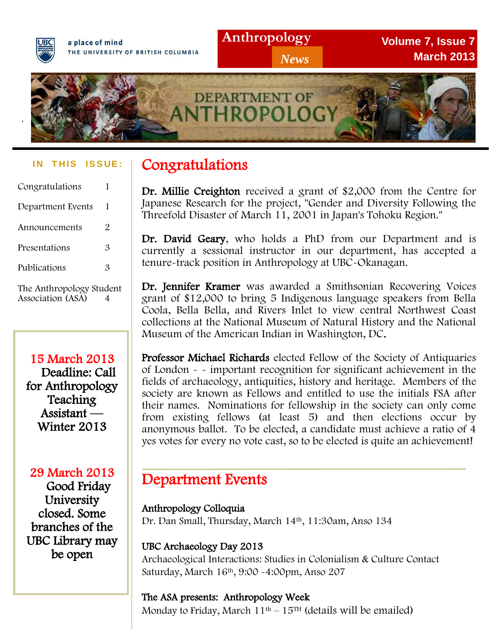

a place of mind THE UNIVERSITY OF BRITISH COLUMBIA **Volume 7, Issue 7 March 2013**



#### **IN THIS ISSUE:**

| Congratulations             | 1 |
|-----------------------------|---|
| Department Events           | 1 |
| Announcements               | 2 |
| Presentations               | 3 |
| Publications                | 3 |
| The Authman James Christian |   |

The Anthropology Student Association (ASA) 4

15 March 2013 Deadline: Call for Anthropology **Teaching** Assistant — Winter 2013

29 March 2013 Good Friday **University** closed. Some branches of the UBC Library may be open

# Congratulations

 Dr. Millie Creighton received a grant of \$2,000 from the Centre for Japanese Research for the project, "Gender and Diversity Following the Threefold Disaster of March 11, 2001 in Japan's Tohoku Region."

Dr. David Geary, who holds a PhD from our Department and is currently a sessional instructor in our department, has accepted a tenure-track position in Anthropology at UBC-Okanagan.

Dr. Jennifer Kramer was awarded a Smithsonian Recovering Voices grant of \$12,000 to bring 5 Indigenous language speakers from Bella Coola, Bella Bella, and Rivers Inlet to view central Northwest Coast collections at the National Museum of Natural History and the National Museum of the American Indian in Washington, DC.

society are known as Fellows and entitled to use the initials FSA after their names. Nominations for fellowship in the society can only come<br>from existing fellows (at least 5) and then elections occur by anonymous ballot. To be elected, a candidate must achieve a ratio of 4 yes votes for every no vote cast, so to be elected is quite an achievement! Professor Michael Richards elected Fellow of the Society of Antiquaries of London - - important recognition for significant achievement in the fields of archaeology, antiquities, history and heritage. Members of the from existing fellows (at least 5) and then elections occur by

### Department Events

#### Anthropology Colloquia

Dr. Dan Small, Thursday, March 14th, 11:30am, Anso 134

### UBC Archaeology Day 2013

Archaeological Interactions: Studies in Colonialism & Culture Contact Saturday, March 16th, 9:00 -4:00pm, Anso 207

#### The ASA presents: Anthropology Week

Monday to Friday, March  $11<sup>th</sup> - 15<sup>TH</sup>$  (details will be emailed)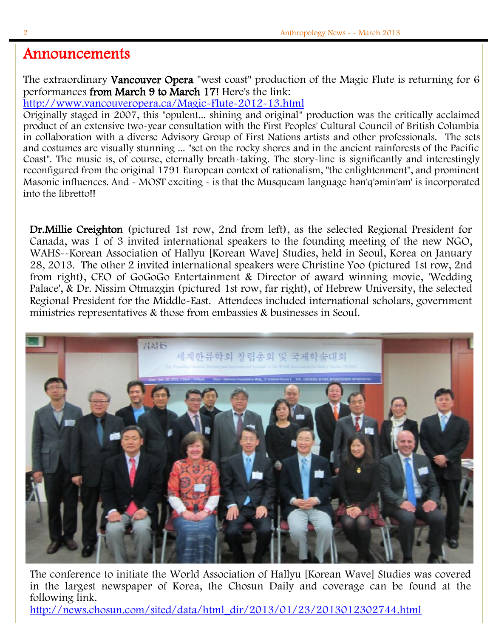### Announcements

The extraordinary Vancouver Opera "west coast" production of the Magic Flute is returning for 6 performances from March 9 to March 17! Here's the link:

<http://www.vancouveropera.ca/Magic-Flute-2012-13.html>

Originally staged in 2007, this "opulent... shining and original" production was the critically acclaimed product of an extensive two-year consultation with the First Peoples' Cultural Council of British Columbia in collaboration with a diverse Advisory Group of First Nations artists and other professionals. The sets and costumes are visually stunning ... "set on the rocky shores and in the ancient rainforests of the Pacific Coast". The music is, of course, eternally breath-taking. The story-line is significantly and interestingly reconfigured from the original 1791 European context of rationalism, "the enlightenment", and prominent Masonic influences. And - MOST exciting - is that the Musqueam language hən'q'əmin'əm' is incorporated into the libretto!!

Dr.Millie Creighton (pictured 1st row, 2nd from left), as the selected Regional President for Canada, was 1 of 3 invited international speakers to the founding meeting of the new NGO, WAHS--Korean Association of Hallyu [Korean Wave] Studies, held in Seoul, Korea on January 28, 2013. The other 2 invited international speakers were Christine Yoo (pictured 1st row, 2nd from right), CEO of GoGoGo Entertainment & Director of award winning movie, 'Wedding Palace', & Dr. Nissim Otmazgin (pictured 1st row, far right), of Hebrew University, the selected Regional President for the Middle-East. Attendees included international scholars, government ministries representatives & those from embassies & businesses in Seoul.



The conference to initiate the World Association of Hallyu [Korean Wave] Studies was covered in the largest newspaper of Korea, the Chosun Daily and coverage can be found at the following link.

[http://news.chosun.com/sited/data/html\\_dir/2013/01/23/2013012302744.html](http://news.chosun.com/sited/data/html_dir/2013/01/23/2013012302744.html)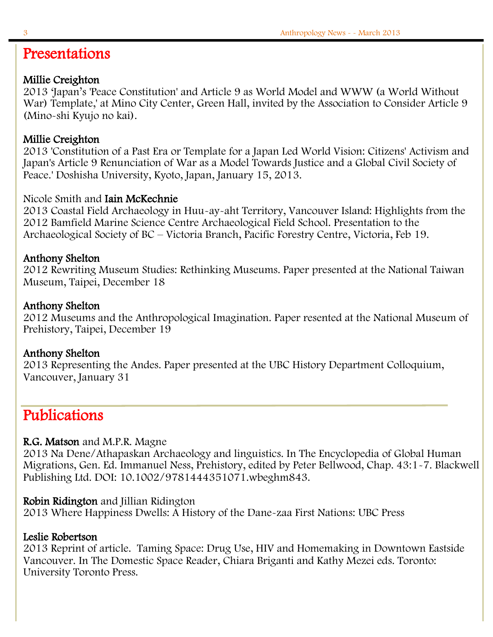# Presentations

#### Millie Creighton

2013 'Japan's 'Peace Constitution' and Article 9 as World Model and WWW (a World Without War) Template,' at Mino City Center, Green Hall, invited by the Association to Consider Article 9 (Mino-shi Kyujo no kai).

### Millie Creighton

2013 'Constitution of a Past Era or Template for a Japan Led World Vision: Citizens' Activism and Japan's Article 9 Renunciation of War as a Model Towards Justice and a Global Civil Society of Peace.' Doshisha University, Kyoto, Japan, January 15, 2013.

#### Nicole Smith and Iain McKechnie

2013 Coastal Field Archaeology in Huu-ay-aht Territory, Vancouver Island: Highlights from the 2012 Bamfield Marine Science Centre Archaeological Field School. Presentation to the Archaeological Society of BC – Victoria Branch, Pacific Forestry Centre, Victoria, Feb 19.

#### Anthony Shelton

2012 Rewriting Museum Studies: Rethinking Museums. Paper presented at the National Taiwan Museum, Taipei, December 18

#### Anthony Shelton

2012 Museums and the Anthropological Imagination. Paper resented at the National Museum of Prehistory, Taipei, December 19

#### Anthony Shelton

2013 Representing the Andes. Paper presented at the UBC History Department Colloquium, Vancouver, January 31

# Publications

#### R.G. Matson and M.P.R. Magne

2013 Na Dene/Athapaskan Archaeology and linguistics. In The Encyclopedia of Global Human Migrations, Gen. Ed. Immanuel Ness, Prehistory, edited by Peter Bellwood, Chap. 43:1-7. Blackwell Publishing Ltd. DOI: 10.1002/9781444351071.wbeghm843.

#### Robin Ridington and Jillian Ridington

2013 Where Happiness Dwells: A History of the Dane-zaa First Nations: UBC Press

#### Leslie Robertson

2013 Reprint of article. Taming Space: Drug Use, HIV and Homemaking in Downtown Eastside Vancouver. In The Domestic Space Reader, Chiara Briganti and Kathy Mezei eds. Toronto: University Toronto Press.